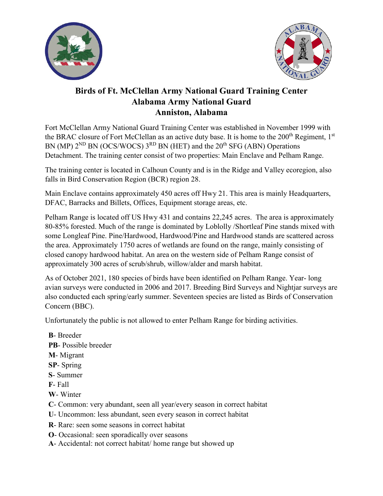



## **Birds of Ft. McClellan Army National Guard Training Center Alabama Army National Guard Anniston, Alabama**

Fort McClellan Army National Guard Training Center was established in November 1999 with the BRAC closure of Fort McClellan as an active duty base. It is home to the 200<sup>th</sup> Regiment, 1<sup>st</sup> BN (MP)  $2^{ND}$  BN (OCS/WOCS)  $3^{RD}$  BN (HET) and the  $20^{th}$  SFG (ABN) Operations Detachment. The training center consist of two properties: Main Enclave and Pelham Range.

The training center is located in Calhoun County and is in the Ridge and Valley ecoregion, also falls in Bird Conservation Region (BCR) region 28.

Main Enclave contains approximately 450 acres off Hwy 21. This area is mainly Headquarters, DFAC, Barracks and Billets, Offices, Equipment storage areas, etc.

Pelham Range is located off US Hwy 431 and contains 22,245 acres. The area is approximately 80-85% forested. Much of the range is dominated by Loblolly /Shortleaf Pine stands mixed with some Longleaf Pine. Pine/Hardwood, Hardwood/Pine and Hardwood stands are scattered across the area. Approximately 1750 acres of wetlands are found on the range, mainly consisting of closed canopy hardwood habitat. An area on the western side of Pelham Range consist of approximately 300 acres of scrub/shrub, willow/alder and marsh habitat.

As of October 2021, 180 species of birds have been identified on Pelham Range. Year- long avian surveys were conducted in 2006 and 2017. Breeding Bird Surveys and Nightjar surveys are also conducted each spring/early summer. Seventeen species are listed as Birds of Conservation Concern (BBC).

Unfortunately the public is not allowed to enter Pelham Range for birding activities.

**B**- Breeder **PB**- Possible breeder **M**- Migrant **SP**- Spring **S**- Summer **F**- Fall **W**- Winter **C**- Common: very abundant, seen all year/every season in correct habitat **U**- Uncommon: less abundant, seen every season in correct habitat **R**- Rare: seen some seasons in correct habitat **O**- Occasional: seen sporadically over seasons **A**- Accidental: not correct habitat/ home range but showed up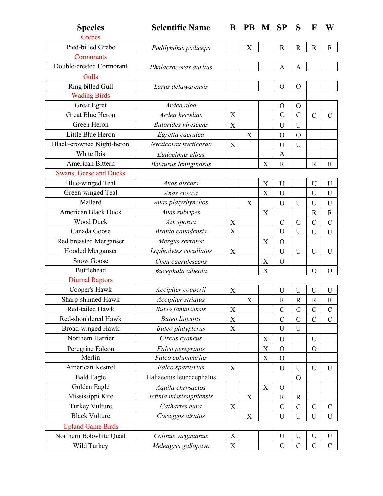| <b>Species</b><br>Grebes      | <b>Scientific Name</b>     | B           | <b>PB</b> | M                         | <b>SP</b>      | S              | F             | W             |
|-------------------------------|----------------------------|-------------|-----------|---------------------------|----------------|----------------|---------------|---------------|
| Pied-billed Grebe             | Podilymbus podiceps        |             | X         |                           | $\mathbb{R}$   | $\mathbf R$    | $\mathbb{R}$  | $\mathbf R$   |
| Cormorants                    |                            |             |           |                           |                |                |               |               |
| Double-crested Cormorant      | Phalacrocorax auritus      |             |           |                           | A              | A              |               |               |
| Gulls                         |                            |             |           |                           |                |                |               |               |
| Ring billed Gull              | Larus delawarensis         |             |           |                           | $\mathcal{O}$  | $\mathcal{O}$  |               |               |
| <b>Wading Birds</b>           |                            |             |           |                           |                |                |               |               |
| Great Egret                   | Ardea alba                 |             |           |                           | $\mathbf O$    | $\mathbf{O}$   |               |               |
| Great Blue Heron              | Ardea herodias             | X           |           |                           | $\overline{C}$ | $\overline{C}$ | $\mathcal{C}$ | $\mathsf{C}$  |
| Green Heron                   | <b>Butorides</b> virescens | X           |           |                           | U              | U              |               |               |
| Little Blue Heron             | Egretta caerulea           |             | X         |                           | $\mathbf O$    | $\overline{O}$ |               |               |
| Black-crowned Night-heron     | Nycticorax nycticorax      | X           |           |                           | U              | U              |               |               |
| White Ibis                    | Eudocimus albus            |             |           |                           | $\mathbf{A}$   |                |               |               |
| American Bittern              | Botaurus lentiginosus      |             |           | $\boldsymbol{\mathrm{X}}$ | $\mathbf R$    |                | $\mathbf R$   | $\mathbf R$   |
| <b>Swans, Geese and Ducks</b> |                            |             |           |                           |                |                |               |               |
| <b>Blue-winged Teal</b>       | Anas discors               |             |           | $\mathbf X$               | U              |                | $\mathbf U$   | $\mathbf U$   |
| Green-winged Teal             | Anas crecca                |             |           | X                         | U              |                | $\mathbf U$   | $\mathbf U$   |
| Mallard                       | Anas platyrhynchos         |             | X         |                           | U              | U              | U             | U             |
| American Black Duck           | Anas rubripes              |             |           | X                         |                |                | $\mathbf R$   | $\mathbf R$   |
| <b>Wood Duck</b>              | Aix sponsa                 | X           |           |                           | $\mathcal{C}$  | $\mathcal{C}$  | $\mathcal{C}$ | $\mathcal{C}$ |
| Canada Goose                  | Branta canadensis          | X           |           |                           | U              | U              | U             | U             |
| Red breasted Merganser        | Mergus serrator            |             |           | X                         | $\mathbf O$    |                |               |               |
| Hooded Merganser              | Lophodytes cucullatus      | X           |           |                           | U              | U              | $\mathbf U$   | U             |
| <b>Snow Goose</b>             | Chen caerulescens          |             |           | X                         | $\mathbf O$    |                |               |               |
| <b>Bufflehead</b>             | Bucephala albeola          |             |           | X                         |                |                | $\Omega$      | $\Omega$      |
| <b>Diurnal Raptors</b>        |                            |             |           |                           |                |                |               |               |
| Cooper's Hawk                 | Accipiter cooperii         | X           |           |                           | U              | U              | U             | U             |
| Sharp-shinned Hawk            | Accipiter striatus         |             | X         |                           | $\mathbf R$    | $\mathbf R$    | $\mathbf R$   | $\mathbb{R}$  |
| Red-tailed Hawk               | Buteo jamaicensis          | X           |           |                           | $\mathcal{C}$  | $\mathcal{C}$  | $\mathcal{C}$ | $\mathsf C$   |
| Red-shouldered Hawk           | <b>Buteo lineatus</b>      | X           |           |                           | $\mathcal{C}$  | $\mathcal{C}$  | $\mathcal{C}$ | $\mathcal{C}$ |
| Broad-winged Hawk             | <b>Buteo</b> platypterus   | $\mathbf X$ |           |                           | U              | $\mathbf U$    |               |               |
| Northern Harrier              | Circus cyaneus             |             |           | $\mathbf X$               | U              |                | $\mathbf U$   |               |
| Peregrine Falcon              | Falco peregrinus           |             |           | $\mathbf X$               | $\mathbf O$    |                | $\Omega$      |               |
| Merlin                        | Falco columbarius          |             |           | X                         | $\overline{O}$ |                |               |               |
| American Kestrel              | Falco sparverius           | X           |           |                           | U              | $\mathbf U$    | $\mathbf U$   | $\mathbf U$   |
| <b>Bald Eagle</b>             | Haliaeetus leucocephalus   |             |           |                           |                | $\mathbf O$    |               |               |
| Golden Eagle                  | Aquila chrysaetos          |             |           | X                         | $\mathbf O$    |                |               |               |
| Mississippi Kite              | Ictinia mississippiensis   |             | X         |                           | ${\bf R}$      | $\mathbf R$    |               |               |
| Turkey Vulture                | Cathartes aura             | X           |           |                           | $\mathcal{C}$  | $\mathcal{C}$  | $\mathcal{C}$ | $\mathbf C$   |
| <b>Black Vulture</b>          | Coragyps atratus           |             | X         |                           | U              | $\mathbf U$    | U             | U             |
| <b>Upland Game Birds</b>      |                            |             |           |                           |                |                |               |               |
| Northern Bobwhite Quail       | Colinus virginianus        | X           |           |                           | U              | $\mathbf U$    | U             | U             |
| Wild Turkey                   | Meleagris gallopavo        | X           |           |                           | $\mathcal{C}$  | $\mathbf C$    | $\mathcal{C}$ | $\mathbf C$   |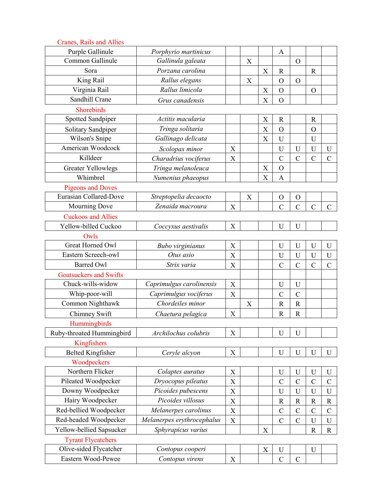| Purple Gallinule<br>Porphyrio martinicus<br>A<br>Common Gallinule<br>Gallinula galeata<br>X<br>$\mathcal{O}$<br>Porzana carolina<br>Sora<br>$\boldsymbol{\mathrm{X}}$<br>$\mathbf R$<br>$\mathbb{R}$ | X<br>$\overline{O}$ |  |                |           |
|------------------------------------------------------------------------------------------------------------------------------------------------------------------------------------------------------|---------------------|--|----------------|-----------|
|                                                                                                                                                                                                      |                     |  |                |           |
|                                                                                                                                                                                                      |                     |  |                |           |
|                                                                                                                                                                                                      |                     |  |                |           |
| $\overline{O}$                                                                                                                                                                                       |                     |  | Rallus elegans | King Rail |
| Virginia Rail<br>Rallus limicola<br>X<br>$\mathbf O$<br>$\mathcal{O}$                                                                                                                                |                     |  |                |           |
| Sandhill Crane<br>X<br>$\overline{O}$<br>Grus canadensis                                                                                                                                             |                     |  |                |           |
| Shorebirds                                                                                                                                                                                           |                     |  |                |           |
| Spotted Sandpiper<br>Actitis macularia<br>X<br>$\mathbb{R}$<br>$\mathbf R$                                                                                                                           |                     |  |                |           |
| Tringa solitaria<br>X<br>$\overline{O}$<br>Solitary Sandpiper<br>$\overline{O}$                                                                                                                      |                     |  |                |           |
| Wilson's Snipe<br>Gallinago delicata<br>U<br>X<br>U                                                                                                                                                  |                     |  |                |           |
| American Woodcock<br>$\mathbf U$<br>$\mathbf U$<br>X<br>$\mathbf U$<br>U<br>Scolopax minor                                                                                                           |                     |  |                |           |
| Killdeer<br>$\mathcal{C}$<br>$\mathcal{C}$<br>Charadrius vociferus<br>X<br>$\mathcal{C}$<br>$\mathcal{C}$                                                                                            |                     |  |                |           |
| X<br>$\mathbf O$<br><b>Greater Yellowlegs</b><br>Tringa melanoleuca                                                                                                                                  |                     |  |                |           |
| Whimbrel<br>$\boldsymbol{\mathrm{X}}$<br>Numenius phaeopus<br>$\overline{A}$                                                                                                                         |                     |  |                |           |
| <b>Pigeons and Doves</b>                                                                                                                                                                             |                     |  |                |           |
| <b>Eurasian Collared-Dove</b><br>Streptopelia decaocto<br>X<br>$\mathbf O$<br>$\mathbf O$                                                                                                            |                     |  |                |           |
| Zenaida macroura<br>Mourning Dove<br>X<br>$\mathcal{C}$<br>$\mathcal{C}$<br>$\overline{C}$<br>$\mathbf C$                                                                                            |                     |  |                |           |
| <b>Cuckoos and Allies</b>                                                                                                                                                                            |                     |  |                |           |
| Yellow-billed Cuckoo<br>X<br>U<br>U<br>Coccyxus aestivalis                                                                                                                                           |                     |  |                |           |
| Owls                                                                                                                                                                                                 |                     |  |                |           |
| Great Horned Owl<br>X<br>$\mathbf U$<br>$\mathbf U$<br>$\mathbf U$<br>U<br>Bubo virginianus                                                                                                          |                     |  |                |           |
| Eastern Screech-owl<br>Otus asio<br>X<br>U<br>$\mathbf U$<br>U<br>U                                                                                                                                  |                     |  |                |           |
| <b>Barred Owl</b><br>Strix varia<br>$\overline{C}$<br>$\overline{C}$<br>$\overline{C}$<br>$\mathcal{C}$<br>X                                                                                         |                     |  |                |           |
| <b>Goatsuckers and Swifts</b>                                                                                                                                                                        |                     |  |                |           |
| Chuck-wills-widow<br>Caprimulgus carolinensis<br>$\mathbf U$<br>X<br>U                                                                                                                               |                     |  |                |           |
| Whip-poor-will<br>Caprimulgus vociferus<br>$\mathcal{C}$<br>$\overline{C}$<br>X                                                                                                                      |                     |  |                |           |
| Chordeiles minor<br>Common Nighthawk<br>$\mathbf R$<br>$\mathbb{R}$<br>X                                                                                                                             |                     |  |                |           |
| Chimney Swift<br>$\mathbf R$<br>X<br>$\mathbb{R}$<br>Chaetura pelagica                                                                                                                               |                     |  |                |           |
| Hummingbirds                                                                                                                                                                                         |                     |  |                |           |
| Ruby-throated Hummingbird<br>Archilochus colubris<br>X<br>$\mathbf U$<br>$\mathbf U$                                                                                                                 |                     |  |                |           |
| Kingfishers                                                                                                                                                                                          |                     |  |                |           |
| <b>Belted Kingfisher</b><br>X<br>$\mathbf U$<br>$\mathbf U$<br>$\mathbf U$<br>Ceryle alcyon<br>U                                                                                                     |                     |  |                |           |
| Woodpeckers                                                                                                                                                                                          |                     |  |                |           |
| Northern Flicker<br>Colaptes auratus<br>X<br>$\mathbf U$<br>$\mathbf U$<br>U<br>U                                                                                                                    |                     |  |                |           |
| Pileated Woodpecker<br>Dryocopus pileatus<br>$\overline{C}$<br>$\mathcal{C}$<br>$\mathcal{C}$<br>X<br>$\mathcal{C}$                                                                                  |                     |  |                |           |
| Downy Woodpecker<br>Picoides pubescens<br>$\mathbf X$<br>U<br>$\mathbf U$<br>U<br>$\mathbf U$                                                                                                        |                     |  |                |           |
| Hairy Woodpecker<br>Picoides villosus<br>X<br>$\mathbb{R}$<br>$\mathbf R$<br>$\mathbb{R}$<br>$\mathbb{R}$                                                                                            |                     |  |                |           |
| Red-bellied Woodpecker<br>Melanerpes carolinus<br>$\mathcal{C}$<br>$\mathcal{C}$<br>$\mathcal{C}$<br>$\mathcal{C}$<br>X                                                                              |                     |  |                |           |
| Red-headed Woodpecker<br>Melanerpes erythrocephalus<br>X<br>$\mathcal{C}$<br>$\mathcal{C}$<br>$\mathbf U$<br>U                                                                                       |                     |  |                |           |
| Yellow-bellied Sapsucker<br>Sphyrapicus varius<br>$\mathbf X$<br>$\mathbf R$<br>$\mathbf R$                                                                                                          |                     |  |                |           |
| <b>Tyrant Flycatchers</b>                                                                                                                                                                            |                     |  |                |           |
| Olive-sided Flycatcher<br>Contopus cooperi<br>$\mathbf X$<br>$\mathbf U$<br>$\mathbf U$                                                                                                              |                     |  |                |           |
| Eastern Wood-Pewee<br>Contopus virens<br>$\mathbf C$<br>$\mathbf C$<br>X                                                                                                                             |                     |  |                |           |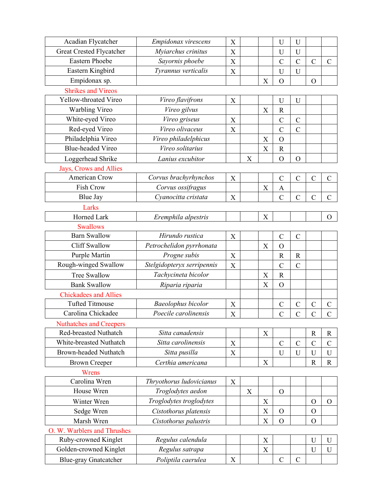| Acadian Flycatcher             | Empidonax virescens        | X           |   |                           | U              | U              |                |                |
|--------------------------------|----------------------------|-------------|---|---------------------------|----------------|----------------|----------------|----------------|
| Great Crested Flycatcher       | Myiarchus crinitus         | X           |   |                           | U              | U              |                |                |
| <b>Eastern Phoebe</b>          | Sayornis phoebe            | $\mathbf X$ |   |                           | $\overline{C}$ | $\mathcal{C}$  | $\mathcal{C}$  | $\overline{C}$ |
| Eastern Kingbird               | Tyrannus verticalis        | X           |   |                           | $\mathbf U$    | U              |                |                |
| Empidonax sp.                  |                            |             |   | X                         | $\overline{O}$ |                | $\overline{O}$ |                |
| <b>Shrikes and Vireos</b>      |                            |             |   |                           |                |                |                |                |
| Yellow-throated Vireo          | Vireo flavifrons           | X           |   |                           | U              | U              |                |                |
| Warbling Vireo                 | Vireo gilvus               |             |   | $\boldsymbol{\mathrm{X}}$ | $\mathbf R$    |                |                |                |
| White-eyed Vireo               | Vireo griseus              | X           |   |                           | $\mathcal{C}$  | $\mathcal{C}$  |                |                |
| Red-eyed Vireo                 | Vireo olivaceus            | $\mathbf X$ |   |                           | $\overline{C}$ | $\overline{C}$ |                |                |
| Philadelphia Vireo             | Vireo philadelphicus       |             |   | X                         | $\overline{O}$ |                |                |                |
| <b>Blue-headed Vireo</b>       | Vireo solitarius           |             |   | $\mathbf X$               | ${\bf R}$      |                |                |                |
| Loggerhead Shrike              | Lanius excubitor           |             | X |                           | $\overline{O}$ | $\mathcal{O}$  |                |                |
| Jays, Crows and Allies         |                            |             |   |                           |                |                |                |                |
| <b>American Crow</b>           | Corvus brachyrhynchos      | X           |   |                           | $\mathcal{C}$  | $\mathcal{C}$  | $\mathcal{C}$  | $\mathcal{C}$  |
| Fish Crow                      | Corvus ossifragus          |             |   | X                         | A              |                |                |                |
| <b>Blue Jay</b>                | Cyanocitta cristata        | $\mathbf X$ |   |                           | $\overline{C}$ | $\mathcal{C}$  | $\mathcal{C}$  | $\mathcal{C}$  |
| Larks                          |                            |             |   |                           |                |                |                |                |
| Horned Lark                    | Eremphila alpestris        |             |   | X                         |                |                |                | $\mathbf{O}$   |
| <b>Swallows</b>                |                            |             |   |                           |                |                |                |                |
| <b>Barn Swallow</b>            | Hirundo rustica            | X           |   |                           | $\mathcal{C}$  | $\mathcal{C}$  |                |                |
| <b>Cliff Swallow</b>           | Petrochelidon pyrrhonata   |             |   | X                         | $\overline{O}$ |                |                |                |
| Purple Martin                  | Progne subis               | X           |   |                           | $\mathbb{R}$   | $\mathbb{R}$   |                |                |
| Rough-winged Swallow           | Stelgidopteryx serripennis | X           |   |                           | $\mathcal{C}$  | $\overline{C}$ |                |                |
| <b>Tree Swallow</b>            | Tachycineta bicolor        |             |   | X                         | $\mathbb{R}$   |                |                |                |
| <b>Bank Swallow</b>            | Riparia riparia            |             |   | X                         | $\overline{O}$ |                |                |                |
| <b>Chickadees and Allies</b>   |                            |             |   |                           |                |                |                |                |
| <b>Tufted Titmouse</b>         | <b>Baeolophus bicolor</b>  | X           |   |                           | $\mathcal{C}$  | $\mathcal{C}$  | $\mathcal{C}$  | $\mathcal{C}$  |
| Carolina Chickadee             | Poecile carolinensis       | X           |   |                           | $\overline{C}$ | $\overline{C}$ | $\overline{C}$ | $\overline{C}$ |
| <b>Nuthatches and Creepers</b> |                            |             |   |                           |                |                |                |                |
| Red-breasted Nuthatch          | Sitta canadensis           |             |   | X                         |                |                | $\mathbf R$    | R              |
| White-breasted Nuthatch        | Sitta carolinensis         | X           |   |                           | $\mathcal{C}$  | $\mathcal{C}$  | $\mathcal{C}$  | $\mathcal{C}$  |
| <b>Brown-headed Nuthatch</b>   | Sitta pusilla              | X           |   |                           | U              | U              | U              | U              |
| <b>Brown Creeper</b>           | Certhia americana          |             |   | $\boldsymbol{\mathrm{X}}$ |                |                | $\mathbf R$    | $\mathbf R$    |
| Wrens                          |                            |             |   |                           |                |                |                |                |
| Carolina Wren                  | Thryothorus ludovicianus   | X           |   |                           |                |                |                |                |
| House Wren                     | Troglodytes aedon          |             | X |                           | $\mathbf O$    |                |                |                |
| Winter Wren                    | Troglodytes troglodytes    |             |   | X                         |                |                | $\mathbf O$    | $\mathbf O$    |
| Sedge Wren                     | Cistothorus platensis      |             |   | X                         | $\mathbf O$    |                | $\mathcal{O}$  |                |
| Marsh Wren                     | Cistothorus palustris      |             |   | $\mathbf X$               | $\mathbf O$    |                | $\mathcal{O}$  |                |
| O. W. Warblers and Thrushes    |                            |             |   |                           |                |                |                |                |
| Ruby-crowned Kinglet           | Regulus calendula          |             |   | X                         |                |                | U              | $\mathbf U$    |
| Golden-crowned Kinglet         | Regulus satrapa            |             |   | $\mathbf X$               |                |                | U              | U              |
| <b>Blue-gray Gnatcatcher</b>   | Poliptila caerulea         | X           |   |                           | $\mathcal{C}$  | $\mathbf C$    |                |                |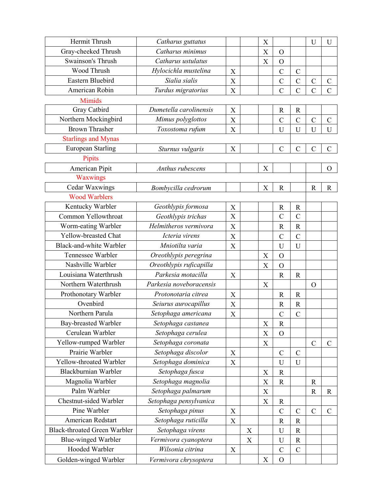| Hermit Thrush                       | Catharus guttatus       |                           |             | $\boldsymbol{\mathrm{X}}$ |                |                | U              | U              |
|-------------------------------------|-------------------------|---------------------------|-------------|---------------------------|----------------|----------------|----------------|----------------|
| Gray-cheeked Thrush                 | Catharus minimus        |                           |             | X                         | $\Omega$       |                |                |                |
| Swainson's Thrush                   | Catharus ustulatus      |                           |             | $\mathbf X$               | $\overline{O}$ |                |                |                |
| Wood Thrush                         | Hylocichla mustelina    | X                         |             |                           | $\mathcal{C}$  | $\mathcal{C}$  |                |                |
| Eastern Bluebird                    | Sialia sialis           | X                         |             |                           | $\mathsf{C}$   | $\mathcal{C}$  | $\mathcal{C}$  | $\mathcal{C}$  |
| American Robin                      | Turdus migratorius      | X                         |             |                           | $\overline{C}$ | $\overline{C}$ | $\overline{C}$ | $\overline{C}$ |
| <b>Mimids</b>                       |                         |                           |             |                           |                |                |                |                |
| Gray Catbird                        | Dumetella carolinensis  | X                         |             |                           | $\mathbb{R}$   | $\mathbf R$    |                |                |
| Northern Mockingbird                | Mimus polyglottos       | X                         |             |                           | $\mathcal{C}$  | $\mathcal{C}$  | $\mathbf C$    | $\mathcal{C}$  |
| <b>Brown Thrasher</b>               | Toxostoma rufum         | X                         |             |                           | U              | U              | U              | U              |
| <b>Starlings and Mynas</b>          |                         |                           |             |                           |                |                |                |                |
| <b>European Starling</b>            | Sturnus vulgaris        | $\mathbf X$               |             |                           | $\mathcal{C}$  | $\mathcal{C}$  | $\mathcal{C}$  | $\mathcal{C}$  |
| Pipits                              |                         |                           |             |                           |                |                |                |                |
| American Pipit                      | Anthus rubescens        |                           |             | X                         |                |                |                | $\mathbf O$    |
| Waxwings                            |                         |                           |             |                           |                |                |                |                |
| <b>Cedar Waxwings</b>               | Bombycilla cedrorum     |                           |             | X                         | $\mathbb{R}$   |                | $\mathbf R$    | $\mathbf R$    |
| <b>Wood Warblers</b>                |                         |                           |             |                           |                |                |                |                |
| Kentucky Warbler                    | Geothlypis formosa      | X                         |             |                           | $\mathbb{R}$   | $\mathbb{R}$   |                |                |
| Common Yellowthroat                 | Geothlypis trichas      | X                         |             |                           | $\overline{C}$ | $\overline{C}$ |                |                |
| Worm-eating Warbler                 | Helmitheros vermivora   | X                         |             |                           | $\mathbf R$    | $\mathbf R$    |                |                |
| Yellow-breasted Chat                | Icteria virens          | X                         |             |                           | $\mathcal{C}$  | $\mathcal{C}$  |                |                |
| Black-and-white Warbler             | Mniotilta varia         | X                         |             |                           | U              | U              |                |                |
| Tennessee Warbler                   | Oreothlypis peregrina   |                           |             | X                         | $\overline{O}$ |                |                |                |
| Nashville Warbler                   | Oreothlypis ruficapilla |                           |             | X                         | $\overline{O}$ |                |                |                |
| Louisiana Waterthrush               | Parkesia motacilla      | $\boldsymbol{\mathrm{X}}$ |             |                           | $\mathbf R$    | $\mathbb{R}$   |                |                |
| Northern Waterthrush                | Parkesia noveboracensis |                           |             | X                         |                |                | $\Omega$       |                |
| Prothonotary Warbler                | Protonotaria citrea     | X                         |             |                           | $\mathbf R$    | $\mathbb{R}$   |                |                |
| Ovenbird                            | Seiurus aurocapillus    | X                         |             |                           | $\mathbb{R}$   | $\mathbf R$    |                |                |
| Northern Parula                     | Setophaga americana     | X                         |             |                           | $\mathcal{C}$  | $\mathcal{C}$  |                |                |
| Bay-breasted Warbler                | Setophaga castanea      |                           |             | $\boldsymbol{\mathrm{X}}$ | $\mathbb{R}$   |                |                |                |
| Cerulean Warbler                    | Setophaga cerulea       |                           |             | X                         | $\Omega$       |                |                |                |
| Yellow-rumped Warbler               | Setophaga coronata      |                           |             | $\boldsymbol{\mathrm{X}}$ |                |                | $\mathcal{C}$  | $\mathcal{C}$  |
| Prairie Warbler                     | Setophaga discolor      | X                         |             |                           | $\mathcal{C}$  | $\mathcal{C}$  |                |                |
| Yellow-throated Warbler             | Setophaga dominica      | X                         |             |                           | U              | U              |                |                |
| Blackburnian Warbler                | Setophaga fusca         |                           |             | X                         | $\mathbb{R}$   |                |                |                |
| Magnolia Warbler                    | Setophaga magnolia      |                           |             | $\boldsymbol{\mathrm{X}}$ | ${\bf R}$      |                | $\mathbb{R}$   |                |
| Palm Warbler                        | Setophaga palmarum      |                           |             | X                         |                |                | ${\bf R}$      | $\mathbf R$    |
| Chestnut-sided Warbler              | Setophaga pensylvanica  |                           |             | X                         | $\mathbf R$    |                |                |                |
| Pine Warbler                        | Setophaga pinus         | X                         |             |                           | $\overline{C}$ | $\mathcal{C}$  | $\mathcal{C}$  | $\mathcal{C}$  |
| American Redstart                   | Setophaga ruticilla     | X                         |             |                           | $\mathbf R$    | $\mathbb{R}$   |                |                |
| <b>Black-throated Green Warbler</b> | Setophaga virens        |                           | X           |                           | $\mathbf U$    | $\mathbf R$    |                |                |
| <b>Blue-winged Warbler</b>          | Vermivora cyanoptera    |                           | $\mathbf X$ |                           | $\mathbf U$    | $\mathbf R$    |                |                |
| Hooded Warbler                      | Wilsonia citrina        | X                         |             |                           | $\mathcal{C}$  | $\mathcal{C}$  |                |                |
| Golden-winged Warbler               | Vermivora chrysoptera   |                           |             | $\boldsymbol{\mathrm{X}}$ | $\overline{O}$ |                |                |                |